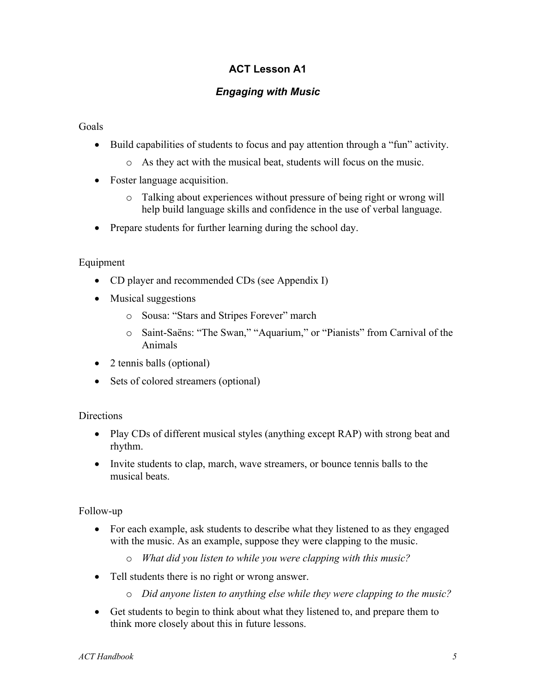# **ACT Lesson A1**

## *Engaging with Music*

#### Goals

- Build capabilities of students to focus and pay attention through a "fun" activity.
	- o As they act with the musical beat, students will focus on the music.
- Foster language acquisition.
	- o Talking about experiences without pressure of being right or wrong will help build language skills and confidence in the use of verbal language.
- Prepare students for further learning during the school day.

### Equipment

- CD player and recommended CDs (see Appendix I)
- Musical suggestions
	- o Sousa: "Stars and Stripes Forever" march
	- o Saint-Saëns: "The Swan," "Aquarium," or "Pianists" from Carnival of the Animals
- 2 tennis balls (optional)
- Sets of colored streamers (optional)

### **Directions**

- Play CDs of different musical styles (anything except RAP) with strong beat and rhythm.
- Invite students to clap, march, wave streamers, or bounce tennis balls to the musical beats.

### Follow-up

- For each example, ask students to describe what they listened to as they engaged with the music. As an example, suppose they were clapping to the music.
	- o *What did you listen to while you were clapping with this music?*
- Tell students there is no right or wrong answer.
	- o *Did anyone listen to anything else while they were clapping to the music?*
- Get students to begin to think about what they listened to, and prepare them to think more closely about this in future lessons.